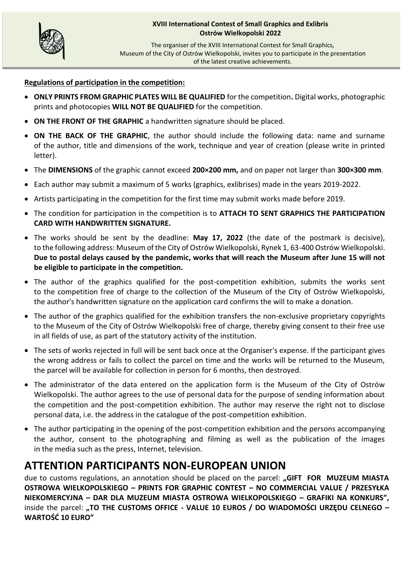

The organiser of the XVIII International Contest for Small Graphics, Museum of the City of Ostrów Wielkopolski, invites you to participate in the presentation of the latest creative achievements.

#### **Regulations of participation in the competition:**

- **ONLY PRINTS FROM GRAPHIC PLATES WILL BE QUALIFIED** for the competition**.** Digital works, photographic prints and photocopies **WILL NOT BE QUALIFIED** for the competition.
- **ON THE FRONT OF THE GRAPHIC** a handwritten signature should be placed.
- **ON THE BACK OF THE GRAPHIC**, the author should include the following data: name and surname of the author, title and dimensions of the work, technique and year of creation (please write in printed letter).
- The **DIMENSIONS** of the graphic cannot exceed **200×200 mm,** and on paper not larger than **300×300 mm**.
- Each author may submit a maximum of 5 works (graphics, exlibrises) made in the years 2019-2022.
- Artists participating in the competition for the first time may submit works made before 2019.
- The condition for participation in the competition is to **ATTACH TO SENT GRAPHICS THE PARTICIPATION CARD WITH HANDWRITTEN SIGNATURE.**
- The works should be sent by the deadline: **May 17, 2022** (the date of the postmark is decisive), to the following address: Museum of the City of Ostrów Wielkopolski, Rynek 1, 63-400 Ostrów Wielkopolski. **Due to postal delays caused by the pandemic, works that will reach the Museum after June 15 will not be eligible to participate in the competition.**
- The author of the graphics qualified for the post-competition exhibition, submits the works sent to the competition free of charge to the collection of the Museum of the City of Ostrów Wielkopolski, the author's handwritten signature on the application card confirms the will to make a donation.
- The author of the graphics qualified for the exhibition transfers the non-exclusive proprietary copyrights to the Museum of the City of Ostrów Wielkopolski free of charge, thereby giving consent to their free use in all fields of use, as part of the statutory activity of the institution.
- The sets of works rejected in full will be sent back once at the Organiser's expense. If the participant gives the wrong address or fails to collect the parcel on time and the works will be returned to the Museum, the parcel will be available for collection in person for 6 months, then destroyed.
- The administrator of the data entered on the application form is the Museum of the City of Ostrów Wielkopolski. The author agrees to the use of personal data for the purpose of sending information about the competition and the post-competition exhibition. The author may reserve the right not to disclose personal data, i.e. the address in the catalogue of the post-competition exhibition.
- The author participating in the opening of the post-competition exhibition and the persons accompanying the author, consent to the photographing and filming as well as the publication of the images in the media such as the press, Internet, television.

# **ATTENTION PARTICIPANTS NON-EUROPEAN UNION**

due to customs regulations, an annotation should be placed on the parcel: "GIFT FOR MUZEUM MIASTA **OSTROWA WIELKOPOLSKIEGO – PRINTS FOR GRAPHIC CONTEST – NO COMMERCIAL VALUE / PRZESYŁKA NIEKOMERCYJNA – DAR DLA MUZEUM MIASTA OSTROWA WIELKOPOLSKIEGO – GRAFIKI NA KONKURS",** inside the parcel: "TO THE CUSTOMS OFFICE - VALUE 10 EUROS / DO WIADOMOŚCI URZĘDU CELNEGO – **WARTOŚĆ 10 EURO"**